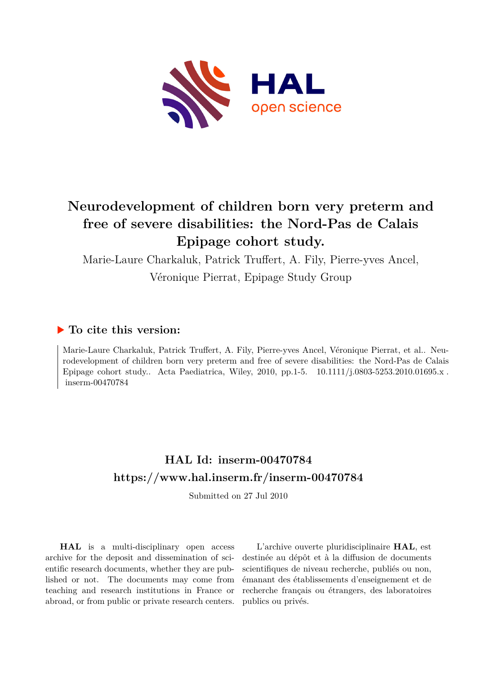

# **Neurodevelopment of children born very preterm and free of severe disabilities: the Nord-Pas de Calais Epipage cohort study.**

Marie-Laure Charkaluk, Patrick Truffert, A. Fily, Pierre-yves Ancel, Véronique Pierrat, Epipage Study Group

### **To cite this version:**

Marie-Laure Charkaluk, Patrick Truffert, A. Fily, Pierre-yves Ancel, Véronique Pierrat, et al.. Neurodevelopment of children born very preterm and free of severe disabilities: the Nord-Pas de Calais Epipage cohort study.. Acta Paediatrica, Wiley, 2010, pp.1-5. 10.1111/j.0803-5253.2010.01695.x.  $inserm-00470784$ 

## **HAL Id: inserm-00470784 <https://www.hal.inserm.fr/inserm-00470784>**

Submitted on 27 Jul 2010

**HAL** is a multi-disciplinary open access archive for the deposit and dissemination of scientific research documents, whether they are published or not. The documents may come from teaching and research institutions in France or abroad, or from public or private research centers.

L'archive ouverte pluridisciplinaire **HAL**, est destinée au dépôt et à la diffusion de documents scientifiques de niveau recherche, publiés ou non, émanant des établissements d'enseignement et de recherche français ou étrangers, des laboratoires publics ou privés.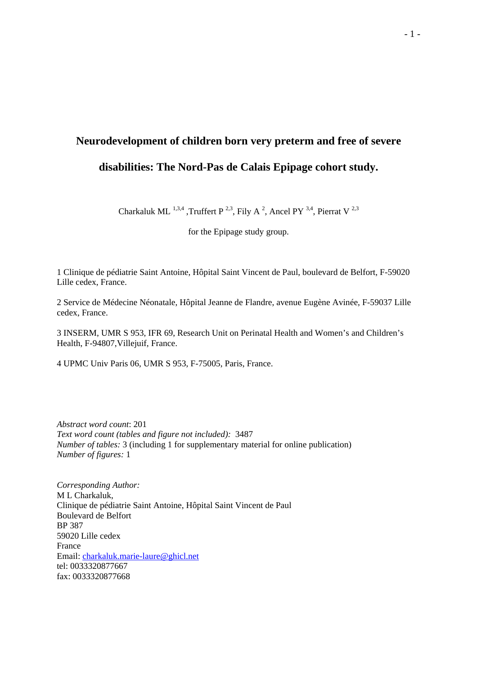# **Neurodevelopment of children born very preterm and free of severe**

## **disabilities: The Nord-Pas de Calais Epipage cohort study.**

Charkaluk ML<sup>1,3,4</sup>, Truffert P<sup>2,3</sup>, Fily A<sup>2</sup>, Ancel PY<sup>3,4</sup>, Pierrat V<sup>2,3</sup>

for the Epipage study group.

1 Clinique de pédiatrie Saint Antoine, Hôpital Saint Vincent de Paul, boulevard de Belfort, F-59020 Lille cedex, France.

2 Service de Médecine Néonatale, Hôpital Jeanne de Flandre, avenue Eugène Avinée, F-59037 Lille cedex, France.

3 INSERM, UMR S 953, IFR 69, Research Unit on Perinatal Health and Women's and Children's Health, F-94807,Villejuif, France.

4 UPMC Univ Paris 06, UMR S 953, F-75005, Paris, France.

*Abstract word count*: 201 *Text word count (tables and figure not included):* 3487 *Number of tables:* 3 (including 1 for supplementary material for online publication) *Number of figures:* 1

*Corresponding Author:* M L Charkaluk, Clinique de pédiatrie Saint Antoine, Hôpital Saint Vincent de Paul Boulevard de Belfort BP 387 59020 Lille cedex France Email: charkaluk.marie-laure@ghicl.net tel: 0033320877667 fax: 0033320877668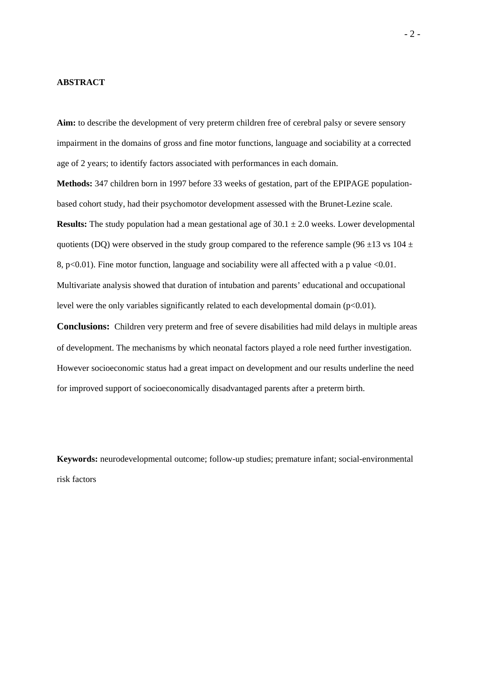#### **ABSTRACT**

Aim: to describe the development of very preterm children free of cerebral palsy or severe sensory impairment in the domains of gross and fine motor functions, language and sociability at a corrected age of 2 years; to identify factors associated with performances in each domain.

**Methods:** 347 children born in 1997 before 33 weeks of gestation, part of the EPIPAGE populationbased cohort study, had their psychomotor development assessed with the Brunet-Lezine scale. **Results:** The study population had a mean gestational age of  $30.1 \pm 2.0$  weeks. Lower developmental quotients (DQ) were observed in the study group compared to the reference sample (96  $\pm$ 13 vs 104  $\pm$ 8, p<0.01). Fine motor function, language and sociability were all affected with a p value  $\leq 0.01$ . Multivariate analysis showed that duration of intubation and parents' educational and occupational level were the only variables significantly related to each developmental domain  $(p<0.01)$ .

**Conclusions:** Children very preterm and free of severe disabilities had mild delays in multiple areas of development. The mechanisms by which neonatal factors played a role need further investigation. However socioeconomic status had a great impact on development and our results underline the need for improved support of socioeconomically disadvantaged parents after a preterm birth.

**Keywords:** neurodevelopmental outcome; follow-up studies; premature infant; social-environmental risk factors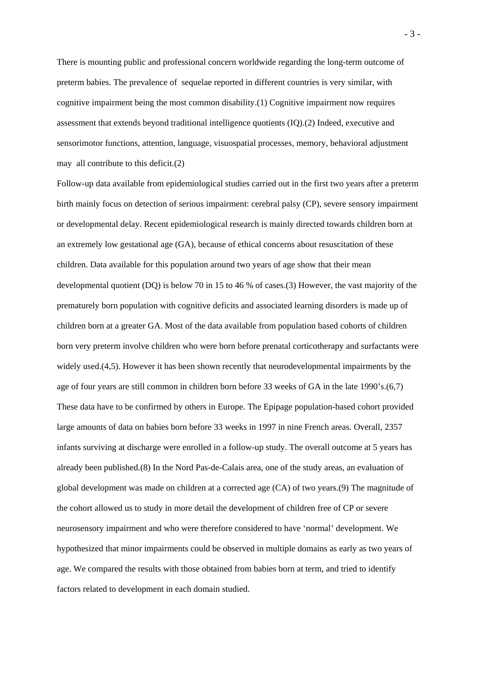There is mounting public and professional concern worldwide regarding the long-term outcome of preterm babies. The prevalence of sequelae reported in different countries is very similar, with cognitive impairment being the most common disability.(1) Cognitive impairment now requires assessment that extends beyond traditional intelligence quotients (IQ).(2) Indeed, executive and sensorimotor functions, attention, language, visuospatial processes, memory, behavioral adjustment may all contribute to this deficit.(2)

Follow-up data available from epidemiological studies carried out in the first two years after a preterm birth mainly focus on detection of serious impairment: cerebral palsy (CP), severe sensory impairment or developmental delay. Recent epidemiological research is mainly directed towards children born at an extremely low gestational age (GA), because of ethical concerns about resuscitation of these children. Data available for this population around two years of age show that their mean developmental quotient (DQ) is below 70 in 15 to 46 % of cases.(3) However, the vast majority of the prematurely born population with cognitive deficits and associated learning disorders is made up of children born at a greater GA. Most of the data available from population based cohorts of children born very preterm involve children who were born before prenatal corticotherapy and surfactants were widely used.(4,5). However it has been shown recently that neurodevelopmental impairments by the age of four years are still common in children born before 33 weeks of GA in the late 1990's.(6,7) These data have to be confirmed by others in Europe. The Epipage population-based cohort provided large amounts of data on babies born before 33 weeks in 1997 in nine French areas. Overall, 2357 infants surviving at discharge were enrolled in a follow-up study. The overall outcome at 5 years has already been published.(8) In the Nord Pas-de-Calais area, one of the study areas, an evaluation of global development was made on children at a corrected age (CA) of two years.(9) The magnitude of the cohort allowed us to study in more detail the development of children free of CP or severe neurosensory impairment and who were therefore considered to have 'normal' development. We hypothesized that minor impairments could be observed in multiple domains as early as two years of age. We compared the results with those obtained from babies born at term, and tried to identify factors related to development in each domain studied.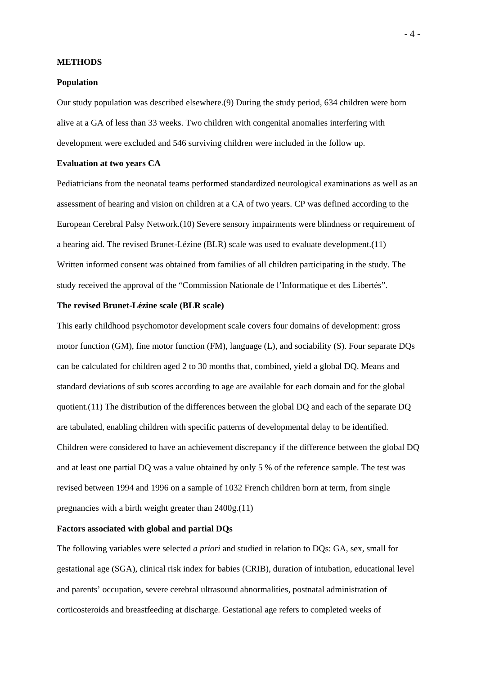#### **METHODS**

#### **Population**

Our study population was described elsewhere.(9) During the study period, 634 children were born alive at a GA of less than 33 weeks. Two children with congenital anomalies interfering with development were excluded and 546 surviving children were included in the follow up.

#### **Evaluation at two years CA**

Pediatricians from the neonatal teams performed standardized neurological examinations as well as an assessment of hearing and vision on children at a CA of two years. CP was defined according to the European Cerebral Palsy Network.(10) Severe sensory impairments were blindness or requirement of a hearing aid. The revised Brunet-Lézine (BLR) scale was used to evaluate development.(11) Written informed consent was obtained from families of all children participating in the study. The study received the approval of the "Commission Nationale de l'Informatique et des Libertés".

#### **The revised Brunet-Lézine scale (BLR scale)**

This early childhood psychomotor development scale covers four domains of development: gross motor function (GM), fine motor function (FM), language (L), and sociability (S). Four separate DQs can be calculated for children aged 2 to 30 months that, combined, yield a global DQ. Means and standard deviations of sub scores according to age are available for each domain and for the global quotient.(11) The distribution of the differences between the global DQ and each of the separate DQ are tabulated, enabling children with specific patterns of developmental delay to be identified. Children were considered to have an achievement discrepancy if the difference between the global DQ and at least one partial DQ was a value obtained by only 5 % of the reference sample. The test was revised between 1994 and 1996 on a sample of 1032 French children born at term, from single pregnancies with a birth weight greater than 2400g.(11)

#### **Factors associated with global and partial DQs**

The following variables were selected *a priori* and studied in relation to DQs: GA, sex, small for gestational age (SGA), clinical risk index for babies (CRIB), duration of intubation, educational level and parents' occupation, severe cerebral ultrasound abnormalities, postnatal administration of corticosteroids and breastfeeding at discharge. Gestational age refers to completed weeks of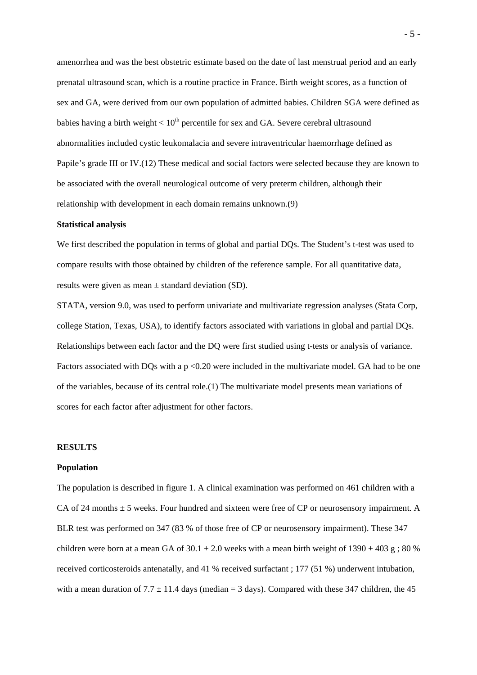amenorrhea and was the best obstetric estimate based on the date of last menstrual period and an early prenatal ultrasound scan, which is a routine practice in France. Birth weight scores, as a function of sex and GA, were derived from our own population of admitted babies. Children SGA were defined as babies having a birth weight  $< 10<sup>th</sup>$  percentile for sex and GA. Severe cerebral ultrasound abnormalities included cystic leukomalacia and severe intraventricular haemorrhage defined as Papile's grade III or IV.(12) These medical and social factors were selected because they are known to be associated with the overall neurological outcome of very preterm children, although their relationship with development in each domain remains unknown.(9)

#### **Statistical analysis**

We first described the population in terms of global and partial DQs. The Student's t-test was used to compare results with those obtained by children of the reference sample. For all quantitative data, results were given as mean ± standard deviation (SD).

STATA, version 9.0, was used to perform univariate and multivariate regression analyses (Stata Corp, college Station, Texas, USA), to identify factors associated with variations in global and partial DQs. Relationships between each factor and the DQ were first studied using t-tests or analysis of variance. Factors associated with DQs with a p <0.20 were included in the multivariate model. GA had to be one of the variables, because of its central role.(1) The multivariate model presents mean variations of scores for each factor after adjustment for other factors.

#### **RESULTS**

#### **Population**

The population is described in figure 1. A clinical examination was performed on 461 children with a CA of 24 months  $\pm$  5 weeks. Four hundred and sixteen were free of CP or neurosensory impairment. A BLR test was performed on 347 (83 % of those free of CP or neurosensory impairment). These 347 children were born at a mean GA of  $30.1 \pm 2.0$  weeks with a mean birth weight of  $1390 \pm 403$  g;  $80\%$ received corticosteroids antenatally, and 41 % received surfactant ; 177 (51 %) underwent intubation, with a mean duration of  $7.7 \pm 11.4$  days (median = 3 days). Compared with these 347 children, the 45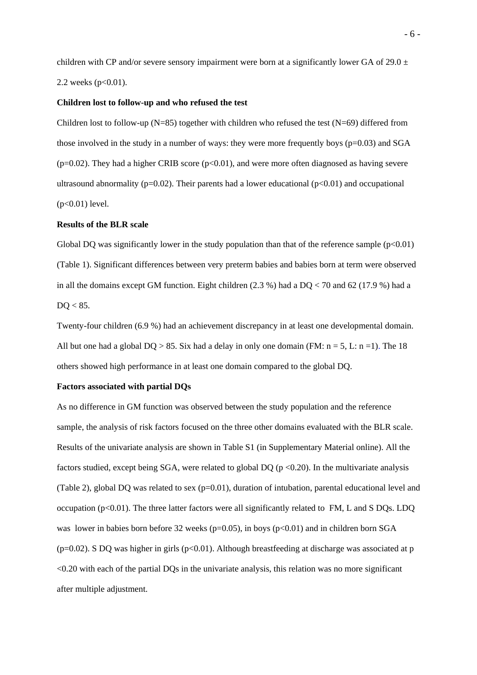children with CP and/or severe sensory impairment were born at a significantly lower GA of 29.0  $\pm$ 2.2 weeks ( $p<0.01$ ).

#### **Children lost to follow-up and who refused the test**

Children lost to follow-up  $(N=85)$  together with children who refused the test  $(N=69)$  differed from those involved in the study in a number of ways: they were more frequently boys ( $p=0.03$ ) and SGA  $(p=0.02)$ . They had a higher CRIB score  $(p<0.01)$ , and were more often diagnosed as having severe ultrasound abnormality ( $p=0.02$ ). Their parents had a lower educational ( $p<0.01$ ) and occupational (p<0.01) level.

#### **Results of the BLR scale**

Global DQ was significantly lower in the study population than that of the reference sample  $(p<0.01)$ (Table 1). Significant differences between very preterm babies and babies born at term were observed in all the domains except GM function. Eight children  $(2.3\%)$  had a DQ < 70 and 62 (17.9 %) had a  $DO < 85$ .

Twenty-four children (6.9 %) had an achievement discrepancy in at least one developmental domain. All but one had a global  $DQ > 85$ . Six had a delay in only one domain (FM:  $n = 5$ , L:  $n = 1$ ). The 18 others showed high performance in at least one domain compared to the global DQ.

#### **Factors associated with partial DQs**

As no difference in GM function was observed between the study population and the reference sample, the analysis of risk factors focused on the three other domains evaluated with the BLR scale. Results of the univariate analysis are shown in Table S1 (in Supplementary Material online). All the factors studied, except being SGA, were related to global DQ ( $p < 0.20$ ). In the multivariate analysis (Table 2), global DQ was related to sex  $(p=0.01)$ , duration of intubation, parental educational level and occupation ( $p<0.01$ ). The three latter factors were all significantly related to FM, L and S DQs. LDQ was lower in babies born before 32 weeks ( $p=0.05$ ), in boys ( $p<0.01$ ) and in children born SGA  $(p=0.02)$ . S DO was higher in girls (p<0.01). Although breastfeeding at discharge was associated at p <0.20 with each of the partial DQs in the univariate analysis, this relation was no more significant after multiple adjustment.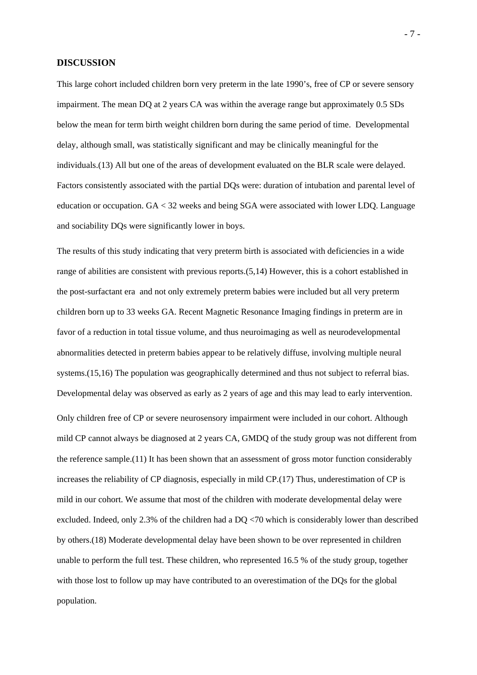#### **DISCUSSION**

This large cohort included children born very preterm in the late 1990's, free of CP or severe sensory impairment. The mean DQ at 2 years CA was within the average range but approximately 0.5 SDs below the mean for term birth weight children born during the same period of time. Developmental delay, although small, was statistically significant and may be clinically meaningful for the individuals.(13) All but one of the areas of development evaluated on the BLR scale were delayed. Factors consistently associated with the partial DQs were: duration of intubation and parental level of education or occupation. GA < 32 weeks and being SGA were associated with lower LDQ. Language and sociability DQs were significantly lower in boys.

The results of this study indicating that very preterm birth is associated with deficiencies in a wide range of abilities are consistent with previous reports.(5,14) However, this is a cohort established in the post-surfactant era and not only extremely preterm babies were included but all very preterm children born up to 33 weeks GA. Recent Magnetic Resonance Imaging findings in preterm are in favor of a reduction in total tissue volume, and thus neuroimaging as well as neurodevelopmental abnormalities detected in preterm babies appear to be relatively diffuse, involving multiple neural systems.(15,16) The population was geographically determined and thus not subject to referral bias. Developmental delay was observed as early as 2 years of age and this may lead to early intervention. Only children free of CP or severe neurosensory impairment were included in our cohort. Although mild CP cannot always be diagnosed at 2 years CA, GMDQ of the study group was not different from the reference sample.(11) It has been shown that an assessment of gross motor function considerably increases the reliability of CP diagnosis, especially in mild CP.(17) Thus, underestimation of CP is mild in our cohort. We assume that most of the children with moderate developmental delay were excluded. Indeed, only 2.3% of the children had a DQ <70 which is considerably lower than described by others.(18) Moderate developmental delay have been shown to be over represented in children unable to perform the full test. These children, who represented 16.5 % of the study group, together with those lost to follow up may have contributed to an overestimation of the DQs for the global population.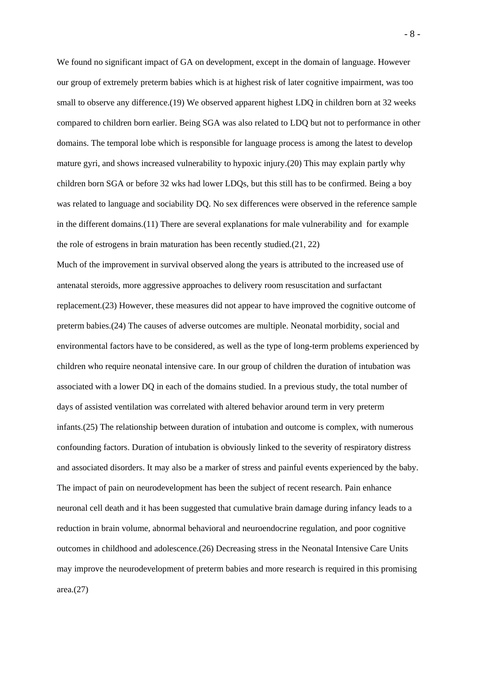We found no significant impact of GA on development, except in the domain of language. However our group of extremely preterm babies which is at highest risk of later cognitive impairment, was too small to observe any difference.(19) We observed apparent highest LDQ in children born at 32 weeks compared to children born earlier. Being SGA was also related to LDQ but not to performance in other domains. The temporal lobe which is responsible for language process is among the latest to develop mature gyri, and shows increased vulnerability to hypoxic injury.(20) This may explain partly why children born SGA or before 32 wks had lower LDQs, but this still has to be confirmed. Being a boy was related to language and sociability DQ. No sex differences were observed in the reference sample in the different domains.(11) There are several explanations for male vulnerability and for example the role of estrogens in brain maturation has been recently studied.(21, 22)

Much of the improvement in survival observed along the years is attributed to the increased use of antenatal steroids, more aggressive approaches to delivery room resuscitation and surfactant replacement.(23) However, these measures did not appear to have improved the cognitive outcome of preterm babies.(24) The causes of adverse outcomes are multiple. Neonatal morbidity, social and environmental factors have to be considered, as well as the type of long-term problems experienced by children who require neonatal intensive care. In our group of children the duration of intubation was associated with a lower DQ in each of the domains studied. In a previous study, the total number of days of assisted ventilation was correlated with altered behavior around term in very preterm infants.(25) The relationship between duration of intubation and outcome is complex, with numerous confounding factors. Duration of intubation is obviously linked to the severity of respiratory distress and associated disorders. It may also be a marker of stress and painful events experienced by the baby. The impact of pain on neurodevelopment has been the subject of recent research. Pain enhance neuronal cell death and it has been suggested that cumulative brain damage during infancy leads to a reduction in brain volume, abnormal behavioral and neuroendocrine regulation, and poor cognitive outcomes in childhood and adolescence.(26) Decreasing stress in the Neonatal Intensive Care Units may improve the neurodevelopment of preterm babies and more research is required in this promising area.(27)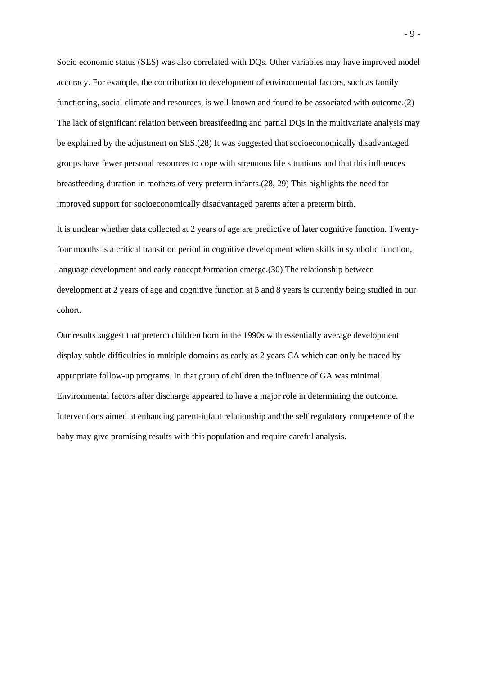Socio economic status (SES) was also correlated with DQs. Other variables may have improved model accuracy. For example, the contribution to development of environmental factors, such as family functioning, social climate and resources, is well-known and found to be associated with outcome.(2) The lack of significant relation between breastfeeding and partial DQs in the multivariate analysis may be explained by the adjustment on SES.(28) It was suggested that socioeconomically disadvantaged groups have fewer personal resources to cope with strenuous life situations and that this influences breastfeeding duration in mothers of very preterm infants.(28, 29) This highlights the need for improved support for socioeconomically disadvantaged parents after a preterm birth.

It is unclear whether data collected at 2 years of age are predictive of later cognitive function. Twentyfour months is a critical transition period in cognitive development when skills in symbolic function, language development and early concept formation emerge.(30) The relationship between development at 2 years of age and cognitive function at 5 and 8 years is currently being studied in our cohort.

Our results suggest that preterm children born in the 1990s with essentially average development display subtle difficulties in multiple domains as early as 2 years CA which can only be traced by appropriate follow-up programs. In that group of children the influence of GA was minimal. Environmental factors after discharge appeared to have a major role in determining the outcome. Interventions aimed at enhancing parent-infant relationship and the self regulatory competence of the baby may give promising results with this population and require careful analysis.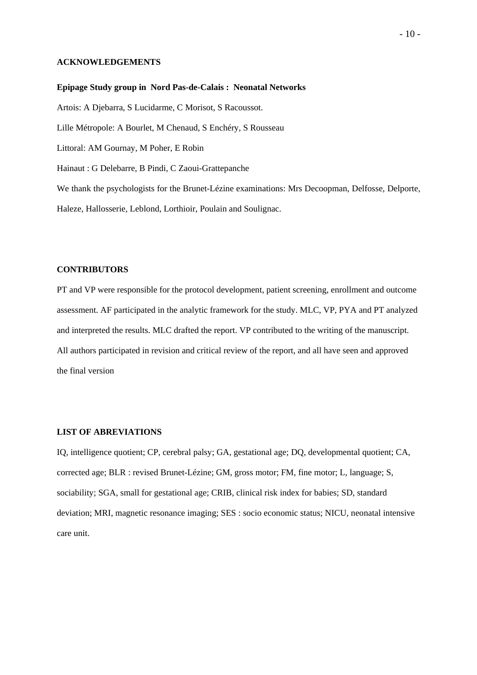#### **ACKNOWLEDGEMENTS**

**Epipage Study group in Nord Pas-de-Calais : Neonatal Networks**  Artois: A Djebarra, S Lucidarme, C Morisot, S Racoussot. Lille Métropole: A Bourlet, M Chenaud, S Enchéry, S Rousseau Littoral: AM Gournay, M Poher, E Robin Hainaut : G Delebarre, B Pindi, C Zaoui-Grattepanche We thank the psychologists for the Brunet-Lézine examinations: Mrs Decoopman, Delfosse, Delporte, Haleze, Hallosserie, Leblond, Lorthioir, Poulain and Soulignac.

#### **CONTRIBUTORS**

PT and VP were responsible for the protocol development, patient screening, enrollment and outcome assessment. AF participated in the analytic framework for the study. MLC, VP, PYA and PT analyzed and interpreted the results. MLC drafted the report. VP contributed to the writing of the manuscript. All authors participated in revision and critical review of the report, and all have seen and approved the final version

#### **LIST OF ABREVIATIONS**

IQ, intelligence quotient; CP, cerebral palsy; GA, gestational age; DQ, developmental quotient; CA, corrected age; BLR : revised Brunet-Lézine; GM, gross motor; FM, fine motor; L, language; S, sociability; SGA, small for gestational age; CRIB, clinical risk index for babies; SD, standard deviation; MRI, magnetic resonance imaging; SES : socio economic status; NICU, neonatal intensive care unit.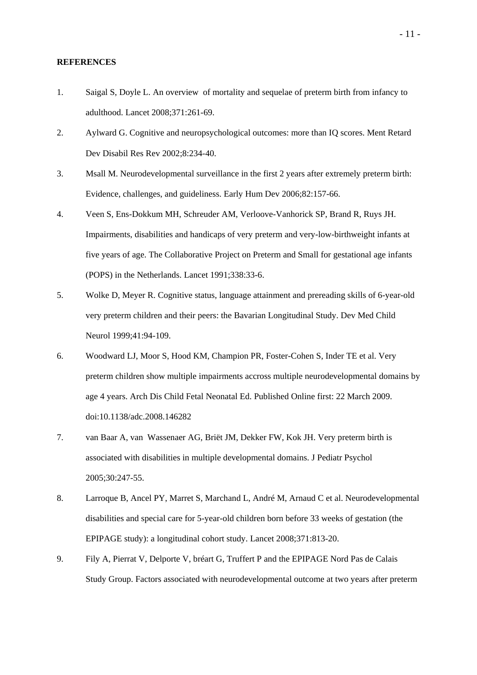#### **REFERENCES**

- 1. Saigal S, Doyle L. An overview of mortality and sequelae of preterm birth from infancy to adulthood. Lancet 2008;371:261-69.
- 2. Aylward G. Cognitive and neuropsychological outcomes: more than IQ scores. Ment Retard Dev Disabil Res Rev 2002;8:234-40.
- 3. Msall M. Neurodevelopmental surveillance in the first 2 years after extremely preterm birth: Evidence, challenges, and guideliness. Early Hum Dev 2006;82:157-66.
- 4. Veen S, Ens-Dokkum MH, Schreuder AM, Verloove-Vanhorick SP, Brand R, Ruys JH. Impairments, disabilities and handicaps of very preterm and very-low-birthweight infants at five years of age. The Collaborative Project on Preterm and Small for gestational age infants (POPS) in the Netherlands. Lancet 1991;338:33-6.
- 5. Wolke D, Meyer R. Cognitive status, language attainment and prereading skills of 6-year-old very preterm children and their peers: the Bavarian Longitudinal Study. Dev Med Child Neurol 1999;41:94-109.
- 6. Woodward LJ, Moor S, Hood KM, Champion PR, Foster-Cohen S, Inder TE et al. Very preterm children show multiple impairments accross multiple neurodevelopmental domains by age 4 years. Arch Dis Child Fetal Neonatal Ed. Published Online first: 22 March 2009. doi:10.1138/adc.2008.146282
- 7. van Baar A, van Wassenaer AG, Briët JM, Dekker FW, Kok JH. Very preterm birth is associated with disabilities in multiple developmental domains. J Pediatr Psychol 2005;30:247-55.
- 8. Larroque B, Ancel PY, Marret S, Marchand L, André M, Arnaud C et al. Neurodevelopmental disabilities and special care for 5-year-old children born before 33 weeks of gestation (the EPIPAGE study): a longitudinal cohort study. Lancet 2008;371:813-20.
- 9. Fily A, Pierrat V, Delporte V, bréart G, Truffert P and the EPIPAGE Nord Pas de Calais Study Group. Factors associated with neurodevelopmental outcome at two years after preterm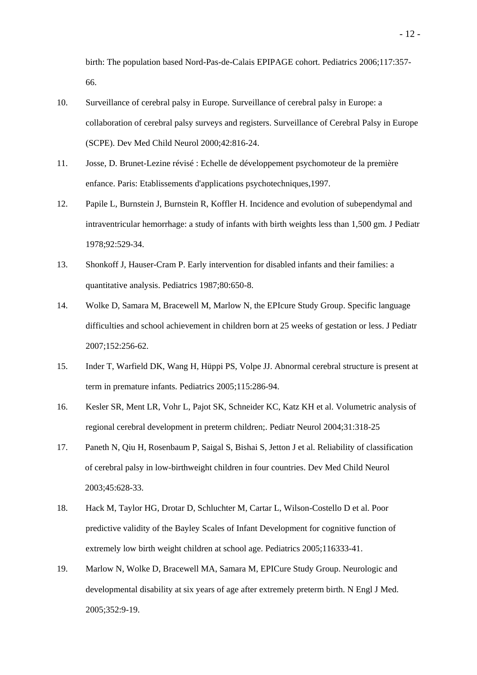birth: The population based Nord-Pas-de-Calais EPIPAGE cohort. Pediatrics 2006;117:357- 66.

- 10. Surveillance of cerebral palsy in Europe. Surveillance of cerebral palsy in Europe: a collaboration of cerebral palsy surveys and registers. Surveillance of Cerebral Palsy in Europe (SCPE). Dev Med Child Neurol 2000;42:816-24.
- 11. Josse, D. Brunet-Lezine révisé : Echelle de développement psychomoteur de la première enfance. Paris: Etablissements d'applications psychotechniques,1997.
- 12. Papile L, Burnstein J, Burnstein R, Koffler H. Incidence and evolution of subependymal and intraventricular hemorrhage: a study of infants with birth weights less than 1,500 gm. J Pediatr 1978;92:529-34.
- 13. Shonkoff J, Hauser-Cram P. Early intervention for disabled infants and their families: a quantitative analysis. Pediatrics 1987;80:650-8.
- 14. Wolke D, Samara M, Bracewell M, Marlow N, the EPIcure Study Group. Specific language difficulties and school achievement in children born at 25 weeks of gestation or less. J Pediatr 2007;152:256-62.
- 15. Inder T, Warfield DK, Wang H, Hüppi PS, Volpe JJ. Abnormal cerebral structure is present at term in premature infants. Pediatrics 2005;115:286-94.
- 16. Kesler SR, Ment LR, Vohr L, Pajot SK, Schneider KC, Katz KH et al. Volumetric analysis of regional cerebral development in preterm children;. Pediatr Neurol 2004;31:318-25
- 17. Paneth N, Qiu H, Rosenbaum P, Saigal S, Bishai S, Jetton J et al. Reliability of classification of cerebral palsy in low-birthweight children in four countries. Dev Med Child Neurol 2003;45:628-33.
- 18. Hack M, Taylor HG, Drotar D, Schluchter M, Cartar L, Wilson-Costello D et al. Poor predictive validity of the Bayley Scales of Infant Development for cognitive function of extremely low birth weight children at school age. Pediatrics 2005;116333-41.
- 19. Marlow N, Wolke D, Bracewell MA, Samara M, EPICure Study Group. Neurologic and developmental disability at six years of age after extremely preterm birth. N Engl J Med. 2005;352:9-19.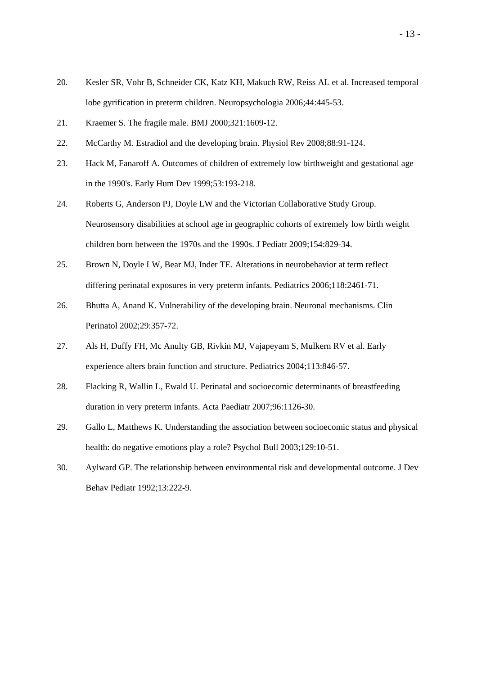- 20. Kesler SR, Vohr B, Schneider CK, Katz KH, Makuch RW, Reiss AL et al. Increased temporal lobe gyrification in preterm children. Neuropsychologia 2006;44:445-53.
- 21. Kraemer S. The fragile male. BMJ 2000;321:1609-12.
- 22. McCarthy M. Estradiol and the developing brain. Physiol Rev 2008;88:91-124.
- 23. Hack M, Fanaroff A. Outcomes of children of extremely low birthweight and gestational age in the 1990's. Early Hum Dev 1999;53:193-218.
- 24. Roberts G, Anderson PJ, Doyle LW and the Victorian Collaborative Study Group. Neurosensory disabilities at school age in geographic cohorts of extremely low birth weight children born between the 1970s and the 1990s. J Pediatr 2009;154:829-34.
- 25. Brown N, Doyle LW, Bear MJ, Inder TE. Alterations in neurobehavior at term reflect differing perinatal exposures in very preterm infants. Pediatrics 2006;118:2461-71.
- 26. Bhutta A, Anand K. Vulnerability of the developing brain. Neuronal mechanisms. Clin Perinatol 2002;29:357-72.
- 27. Als H, Duffy FH, Mc Anulty GB, Rivkin MJ, Vajapeyam S, Mulkern RV et al. Early experience alters brain function and structure. Pediatrics 2004;113:846-57.
- 28. Flacking R, Wallin L, Ewald U. Perinatal and socioecomic determinants of breastfeeding duration in very preterm infants. Acta Paediatr 2007;96:1126-30.
- 29. Gallo L, Matthews K. Understanding the association between socioecomic status and physical health: do negative emotions play a role? Psychol Bull 2003;129:10-51.
- 30. Aylward GP. The relationship between environmental risk and developmental outcome. J Dev Behav Pediatr 1992;13:222-9.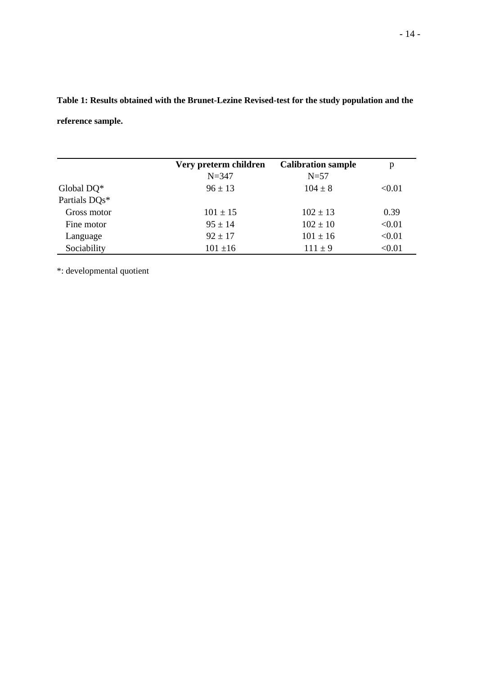**Table 1: Results obtained with the Brunet-Lezine Revised-test for the study population and the reference sample.** 

|               | Very preterm children | <b>Calibration sample</b> | p      |
|---------------|-----------------------|---------------------------|--------|
|               | $N = 347$             | $N=57$                    |        |
| Global DQ*    | $96 \pm 13$           | $104 \pm 8$               | < 0.01 |
| Partials DOs* |                       |                           |        |
| Gross motor   | $101 \pm 15$          | $102 \pm 13$              | 0.39   |
| Fine motor    | $95 \pm 14$           | $102 \pm 10$              | < 0.01 |
| Language      | $92 \pm 17$           | $101 \pm 16$              | < 0.01 |
| Sociability   | $101 \pm 16$          | $111 \pm 9$               | < 0.01 |

\*: developmental quotient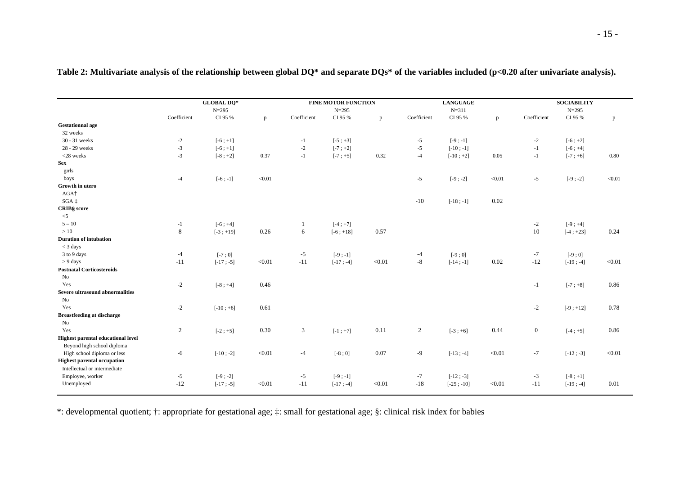|                                           | <b>GLOBAL DQ*</b> |             |           | <b>FINE MOTOR FUNCTION</b> |             |              | <b>LANGUAGE</b><br>$N = 311$ |              |              | <b>SOCIABILITY</b><br>$N = 295$ |             |              |
|-------------------------------------------|-------------------|-------------|-----------|----------------------------|-------------|--------------|------------------------------|--------------|--------------|---------------------------------|-------------|--------------|
|                                           | $N = 295$         |             | $N = 295$ |                            |             |              |                              |              |              |                                 |             |              |
|                                           | Coefficient       | CI 95 %     | p         | Coefficient                | CI 95 %     | $\mathbf{p}$ | Coefficient                  | CI 95 %      | $\mathbf{p}$ | Coefficient                     | CI 95 %     | $\mathbf{p}$ |
| <b>Gestationnal age</b>                   |                   |             |           |                            |             |              |                              |              |              |                                 |             |              |
| 32 weeks                                  |                   |             |           |                            |             |              |                              |              |              |                                 |             |              |
| 30 - 31 weeks                             | $-2$              | $[-6; +1]$  |           | $-1$                       | $[-5; +3]$  |              | $-5$                         | $[-9; -1]$   |              | $-2$                            | $[-6; +2]$  |              |
| 28 - 29 weeks                             | $-3$              | $[-6; +1]$  |           | $-2$                       | $[-7; +2]$  |              | $-5$                         | $[-10; -1]$  |              | $-1$                            | $[-6; +4]$  |              |
| $<$ 28 weeks                              | $-3$              | $[-8; +2]$  | 0.37      | $-1$                       | $[-7; +5]$  | 0.32         | $-4$                         | $[-10; +2]$  | 0.05         | $-1$                            | $[-7; +6]$  | 0.80         |
| <b>Sex</b>                                |                   |             |           |                            |             |              |                              |              |              |                                 |             |              |
| girls                                     |                   |             |           |                            |             |              |                              |              |              |                                 |             |              |
| boys                                      | $-4$              | $[-6; -1]$  | < 0.01    |                            |             |              | $-5$                         | $[-9; -2]$   | < 0.01       | $-5$                            | $[-9; -2]$  | < 0.01       |
| Growth in utero                           |                   |             |           |                            |             |              |                              |              |              |                                 |             |              |
| AGA <sup>+</sup>                          |                   |             |           |                            |             |              |                              |              |              |                                 |             |              |
| $SGA \uparrow$                            |                   |             |           |                            |             |              | $\mbox{-}10$                 | $[-18; -1]$  | 0.02         |                                 |             |              |
| CRIB§ score                               |                   |             |           |                            |             |              |                              |              |              |                                 |             |              |
| $\leq$ 5                                  |                   |             |           |                            |             |              |                              |              |              |                                 |             |              |
| $5 - 10$                                  | $-1$              | $[-6; +4]$  |           | -1                         | $[-4; +7]$  |              |                              |              |              | $-2$                            | $[-9; +4]$  |              |
| >10                                       | $\,8\,$           | $[-3; +19]$ | 0.26      | 6                          | $[-6; +18]$ | 0.57         |                              |              |              | 10                              | $[-4; +23]$ | 0.24         |
| <b>Duration of intubation</b>             |                   |             |           |                            |             |              |                              |              |              |                                 |             |              |
| $<$ 3 days                                |                   |             |           |                            |             |              |                              |              |              |                                 |             |              |
| 3 to 9 days                               | $-4$              | $[-7:0]$    |           | $-5$                       | $[-9; -1]$  |              | $-4$                         | $[-9:0]$     |              | $-7$                            | $[-9:0]$    |              |
| $> 9$ days                                | $-11$             | $[-17; -5]$ | < 0.01    | $-11$                      | $[-17; -4]$ | < 0.01       | $-8$                         | $[-14; -1]$  | 0.02         | $-12$                           | $[-19; -4]$ | < 0.01       |
| <b>Postnatal Corticosteroids</b>          |                   |             |           |                            |             |              |                              |              |              |                                 |             |              |
| No                                        |                   |             |           |                            |             |              |                              |              |              |                                 |             |              |
| Yes                                       | $-2$              | $[-8; +4]$  | 0.46      |                            |             |              |                              |              |              | $-1$                            | $[-7; +8]$  | 0.86         |
| Severe ultrasound abnormalities           |                   |             |           |                            |             |              |                              |              |              |                                 |             |              |
| No                                        |                   |             |           |                            |             |              |                              |              |              |                                 |             |              |
| Yes                                       | $-2$              | $[-10; +6]$ | 0.61      |                            |             |              |                              |              |              | $-2$                            | $[-9; +12]$ | 0.78         |
| <b>Breastfeeding at discharge</b>         |                   |             |           |                            |             |              |                              |              |              |                                 |             |              |
| No                                        |                   |             |           |                            |             |              |                              |              |              |                                 |             |              |
| Yes                                       | $\overline{2}$    | $[-2; +5]$  | 0.30      | 3                          | $[-1; +7]$  | 0.11         | $\overline{2}$               | $[-3; +6]$   | 0.44         | $\mathbf{0}$                    | $[-4; +5]$  | 0.86         |
| <b>Highest parental educational level</b> |                   |             |           |                            |             |              |                              |              |              |                                 |             |              |
| Beyond high school diploma                |                   |             |           |                            |             |              |                              |              |              |                                 |             |              |
| High school diploma or less               | $-6$              | $[-10; -2]$ | < 0.01    | $-4$                       | $[-8:0]$    | 0.07         | $-9$                         | $[-13; -4]$  | < 0.01       | $-7$                            | $[-12; -3]$ | < 0.01       |
| <b>Highest parental occupation</b>        |                   |             |           |                            |             |              |                              |              |              |                                 |             |              |
| Intellectual or intermediate              |                   |             |           |                            |             |              |                              |              |              |                                 |             |              |
| Employee, worker                          | $-5$              | $[-9; -2]$  |           | $-5$                       | $[-9; -1]$  |              | $-7$                         | $[-12; -3]$  |              | $-3$                            | $[-8; +1]$  |              |
| Unemployed                                | $-12$             | $[-17; -5]$ | < 0.01    | $-11$                      | $[-17; -4]$ | < 0.01       | $-18$                        | $[-25; -10]$ | < 0.01       | $-11$                           | $[-19; -4]$ | 0.01         |
|                                           |                   |             |           |                            |             |              |                              |              |              |                                 |             |              |

**Table 2: Multivariate analysis of the relationship between global DQ\* and separate DQs\* of the variables included (p<0.20 after univariate analysis).** 

\*: developmental quotient; †: appropriate for gestational age; ‡: small for gestational age; §: clinical risk index for babies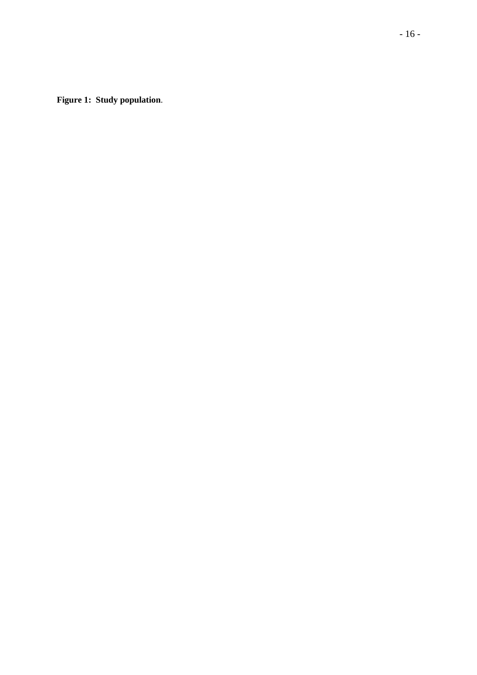**Figure 1: Study population**.